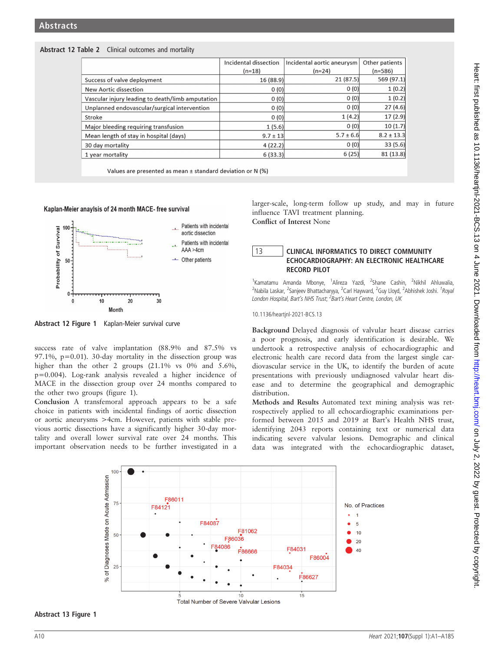# Abstract 12 Table 2 Clinical outcomes and mortality

|                                                  | Incidental dissection | Incidental aortic aneurysm | Other patients |
|--------------------------------------------------|-----------------------|----------------------------|----------------|
|                                                  | $(n=18)$              | $(n=24)$                   | $(n=586)$      |
| Success of valve deployment                      | 16 (88.9)             | 21(87.5)                   | 569 (97.1)     |
| <b>New Aortic dissection</b>                     | 0(0)                  | 0(0)                       | 1(0.2)         |
| Vascular injury leading to death/limb amputation | 0(0)                  | 0(0)                       | 1(0.2)         |
| Unplanned endovascular/surgical intervention     | 0(0)                  | 0(0)                       | 27(4.6)        |
| Stroke                                           | 0(0)                  | 1(4.2)                     | 17(2.9)        |
| Major bleeding requiring transfusion             | 1(5.6)                | 0(0)                       | 10(1.7)        |
| Mean length of stay in hospital (days)           | $9.7 \pm 13$          | $5.7 \pm 6.6$              | $8.2 \pm 13.3$ |
| 30 day mortality                                 | 4(22.2)               | 0(0)                       | 33(5.6)        |
| 1 year mortality                                 | 6(33.3)               | 6(25)                      | 81(13.8)       |

Values are presented as mean ± standard deviation or N (%)

## Kaplan-Meier anaylsis of 24 month MACE- free survival



Abstract 12 Figure 1 Kaplan-Meier survival curve

success rate of valve implantation (88.9% and 87.5% vs 97.1%,  $p=0.01$ ). 30-day mortality in the dissection group was higher than the other 2 groups (21.1% vs 0% and 5.6%, p=0.004). Log-rank analysis revealed a higher incidence of MACE in the dissection group over 24 months compared to the other two groups (figure 1).

Conclusion A transfemoral approach appears to be a safe choice in patients with incidental findings of aortic dissection or aortic aneurysms >4cm. However, patients with stable previous aortic dissections have a significantly higher 30-day mortality and overall lower survival rate over 24 months. This important observation needs to be further investigated in a

larger-scale, long-term follow up study, and may in future influence TAVI treatment planning. Conflict of Interest None

# 13 CLINICAL INFORMATICS TO DIRECT COMMUNITY ECHOCARDIOGRAPHY: AN ELECTRONIC HEALTHCARE RECORD PILOT

<sup>1</sup>Kamatamu Amanda Mbonye, <sup>1</sup>Alireza Yazdi, <sup>2</sup>Shane Cashin, <sup>2</sup>Nikhil Ahluwalia, <sup>2</sup>Nabila Laskar, <sup>2</sup>Sanjeev Bhattacharyya, <sup>2</sup>Carl Hayward, <sup>2</sup>Guy Lloyd, <sup>2</sup>Abhishek Joshi. <sup>1</sup>Royal London Hospital, Bart's NHS Trust; <sup>2</sup>Bart's Heart Centre, London, UK

10.1136/heartjnl-2021-BCS.13

Background Delayed diagnosis of valvular heart disease carries a poor prognosis, and early identification is desirable. We undertook a retrospective analysis of echocardiographic and electronic health care record data from the largest single cardiovascular service in the UK, to identify the burden of acute presentations with previously undiagnosed valvular heart disease and to determine the geographical and demographic distribution.

Methods and Results Automated text mining analysis was retrospectively applied to all echocardiographic examinations performed between 2015 and 2019 at Bart's Health NHS trust, identifying 2043 reports containing text or numerical data indicating severe valvular lesions. Demographic and clinical data was integrated with the echocardiographic dataset,



Abstract 13 Figure 1